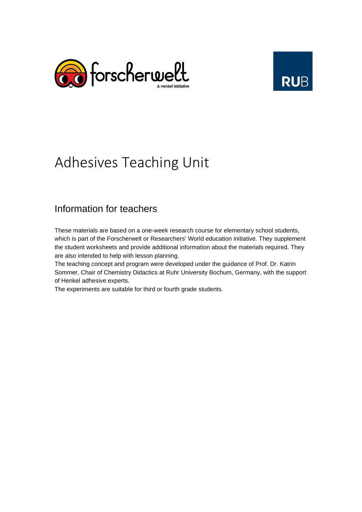



# Adhesives Teaching Unit

## Information for teachers

These materials are based on a one-week research course for elementary school students, which is part of the Forscherwelt or Researchers' World education initiative. They supplement the student worksheets and provide additional information about the materials required. They are also intended to help with lesson planning.

The teaching concept and program were developed under the guidance of Prof. Dr. Katrin Sommer, Chair of Chemistry Didactics at Ruhr University Bochum, Germany, with the support of Henkel adhesive experts.

The experiments are suitable for third or fourth grade students.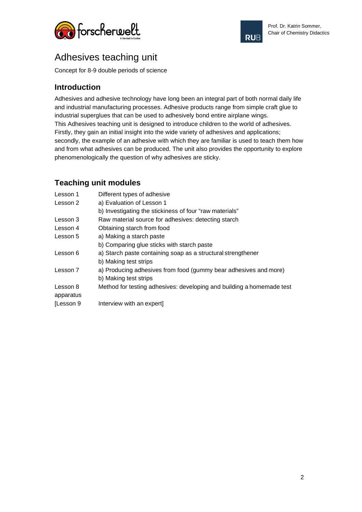



## Adhesives teaching unit

Concept for 8-9 double periods of science

#### **Introduction**

Adhesives and adhesive technology have long been an integral part of both normal daily life and industrial manufacturing processes. Adhesive products range from simple craft glue to industrial superglues that can be used to adhesively bond entire airplane wings. This Adhesives teaching unit is designed to introduce children to the world of adhesives. Firstly, they gain an initial insight into the wide variety of adhesives and applications; secondly, the example of an adhesive with which they are familiar is used to teach them how and from what adhesives can be produced. The unit also provides the opportunity to explore phenomenologically the question of why adhesives are sticky.

#### **Teaching unit modules**

| Lesson 1  | Different types of adhesive                                           |
|-----------|-----------------------------------------------------------------------|
| Lesson 2  | a) Evaluation of Lesson 1                                             |
|           | b) Investigating the stickiness of four "raw materials"               |
| Lesson 3  | Raw material source for adhesives: detecting starch                   |
| Lesson 4  | Obtaining starch from food                                            |
| Lesson 5  | a) Making a starch paste                                              |
|           | b) Comparing glue sticks with starch paste                            |
| Lesson 6  | a) Starch paste containing soap as a structural strengthener          |
|           | b) Making test strips                                                 |
| Lesson 7  | a) Producing adhesives from food (gummy bear adhesives and more)      |
|           | b) Making test strips                                                 |
| Lesson 8  | Method for testing adhesives: developing and building a homemade test |
| apparatus |                                                                       |
| [Lesson 9 | Interview with an expert]                                             |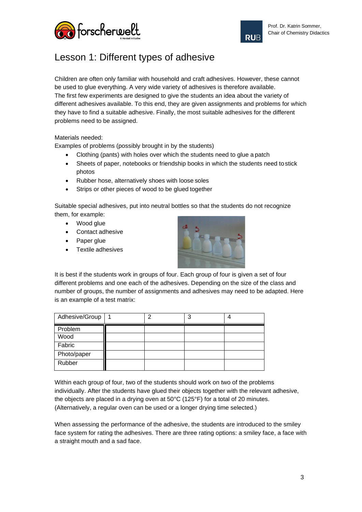



# Lesson 1: Different types of adhesive

Children are often only familiar with household and craft adhesives. However, these cannot be used to glue everything. A very wide variety of adhesives is therefore available. The first few experiments are designed to give the students an idea about the variety of different adhesives available. To this end, they are given assignments and problems for which they have to find a suitable adhesive. Finally, the most suitable adhesives for the different problems need to be assigned.

Materials needed:

Examples of problems (possibly brought in by the students)

- Clothing (pants) with holes over which the students need to glue a patch
- Sheets of paper, notebooks or friendship books in which the students need tostick photos
- Rubber hose, alternatively shoes with loose soles
- Strips or other pieces of wood to be glued together

Suitable special adhesives, put into neutral bottles so that the students do not recognize them, for example:

- Wood glue
- Contact adhesive
- Paper glue
- Textile adhesives



It is best if the students work in groups of four. Each group of four is given a set of four different problems and one each of the adhesives. Depending on the size of the class and number of groups, the number of assignments and adhesives may need to be adapted. Here is an example of a test matrix:

| Adhesive/Group | ⌒ | 3 |  |
|----------------|---|---|--|
| Problem        |   |   |  |
| Wood           |   |   |  |
| Fabric         |   |   |  |
| Photo/paper    |   |   |  |
| Rubber         |   |   |  |

Within each group of four, two of the students should work on two of the problems individually. After the students have glued their objects together with the relevant adhesive, the objects are placed in a drying oven at 50°C (125°F) for a total of 20 minutes. (Alternatively, a regular oven can be used or a longer drying time selected.)

When assessing the performance of the adhesive, the students are introduced to the smiley face system for rating the adhesives. There are three rating options: a smiley face, a face with a straight mouth and a sad face.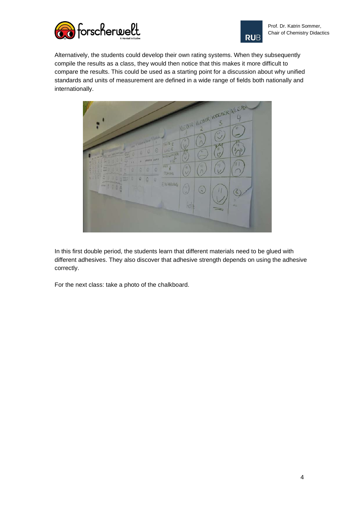



Alternatively, the students could develop their own rating systems. When they subsequently compile the results as a class, they would then notice that this makes it more difficult to compare the results. This could be used as a starting point for a discussion about why unified standards and units of measurement are defined in a wide range of fields both nationally and internationally.



In this first double period, the students learn that different materials need to be glued with different adhesives. They also discover that adhesive strength depends on using the adhesive correctly.

For the next class: take a photo of the chalkboard.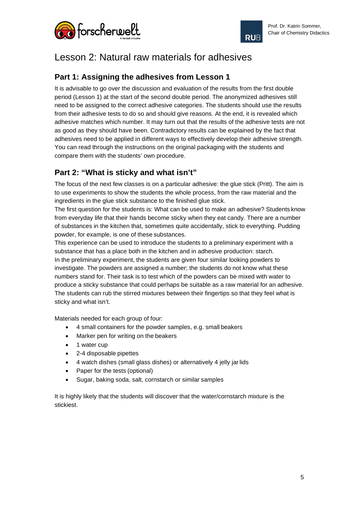



### Lesson 2: Natural raw materials for adhesives

#### **Part 1: Assigning the adhesives from Lesson 1**

It is advisable to go over the discussion and evaluation of the results from the first double period (Lesson 1) at the start of the second double period. The anonymized adhesives still need to be assigned to the correct adhesive categories. The students should use the results from their adhesive tests to do so and should give reasons. At the end, it is revealed which adhesive matches which number. It may turn out that the results of the adhesive tests are not as good as they should have been. Contradictory results can be explained by the fact that adhesives need to be applied in different ways to effectively develop their adhesive strength. You can read through the instructions on the original packaging with the students and compare them with the students' own procedure.

#### **Part 2: "What is sticky and what isn't"**

The focus of the next few classes is on a particular adhesive: the glue stick (Pritt). The aim is to use experiments to show the students the whole process, from the raw material and the ingredients in the glue stick substance to the finished glue stick.

The first question for the students is: What can be used to make an adhesive? Students know from everyday life that their hands become sticky when they eat candy. There are a number of substances in the kitchen that, sometimes quite accidentally, stick to everything. Pudding powder, for example, is one of these substances.

This experience can be used to introduce the students to a preliminary experiment with a substance that has a place both in the kitchen and in adhesive production: starch. In the preliminary experiment, the students are given four similar looking powders to investigate. The powders are assigned a number; the students do not know what these numbers stand for. Their task is to test which of the powders can be mixed with water to produce a sticky substance that could perhaps be suitable as a raw material for an adhesive. The students can rub the stirred mixtures between their fingertips so that they feel what is sticky and what isn't.

Materials needed for each group of four:

- 4 small containers for the powder samples, e.g. small beakers
- Marker pen for writing on the beakers
- 1 water cup
- 2-4 disposable pipettes
- 4 watch dishes (small glass dishes) or alternatively 4 jelly jarlids
- Paper for the tests (optional)
- Sugar, baking soda, salt, cornstarch or similar samples

It is highly likely that the students will discover that the water/cornstarch mixture is the stickiest.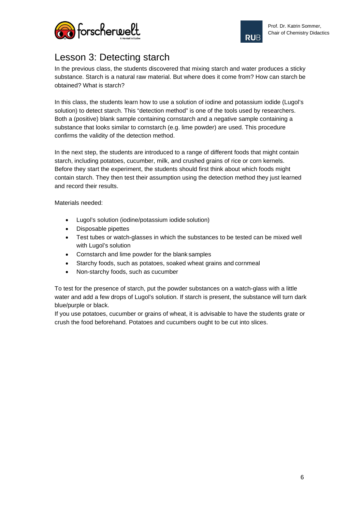



# Lesson 3: Detecting starch

In the previous class, the students discovered that mixing starch and water produces a sticky substance. Starch is a natural raw material. But where does it come from? How can starch be obtained? What is starch?

In this class, the students learn how to use a solution of iodine and potassium iodide (Lugol's solution) to detect starch. This "detection method" is one of the tools used by researchers. Both a (positive) blank sample containing cornstarch and a negative sample containing a substance that looks similar to cornstarch (e.g. lime powder) are used. This procedure confirms the validity of the detection method.

In the next step, the students are introduced to a range of different foods that might contain starch, including potatoes, cucumber, milk, and crushed grains of rice or corn kernels. Before they start the experiment, the students should first think about which foods might contain starch. They then test their assumption using the detection method they just learned and record their results.

Materials needed:

- Lugol's solution (iodine/potassium iodide solution)
- Disposable pipettes
- Test tubes or watch-glasses in which the substances to be tested can be mixed well with Lugol's solution
- Cornstarch and lime powder for the blank samples
- Starchy foods, such as potatoes, soaked wheat grains and cornmeal
- Non-starchy foods, such as cucumber

To test for the presence of starch, put the powder substances on a watch-glass with a little water and add a few drops of Lugol's solution. If starch is present, the substance will turn dark blue/purple or black.

If you use potatoes, cucumber or grains of wheat, it is advisable to have the students grate or crush the food beforehand. Potatoes and cucumbers ought to be cut into slices.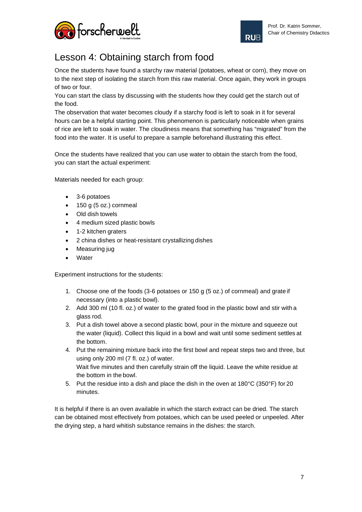



# Lesson 4: Obtaining starch from food

Once the students have found a starchy raw material (potatoes, wheat or corn), they move on to the next step of isolating the starch from this raw material. Once again, they work in groups of two or four.

You can start the class by discussing with the students how they could get the starch out of the food.

The observation that water becomes cloudy if a starchy food is left to soak in it for several hours can be a helpful starting point. This phenomenon is particularly noticeable when grains of rice are left to soak in water. The cloudiness means that something has "migrated" from the food into the water. It is useful to prepare a sample beforehand illustrating this effect.

Once the students have realized that you can use water to obtain the starch from the food, you can start the actual experiment:

Materials needed for each group:

- 3-6 potatoes
- 150 g (5 oz.) cornmeal
- Old dish towels
- 4 medium sized plastic bowls
- 1-2 kitchen graters
- 2 china dishes or heat-resistant crystallizing dishes
- Measuring jug
- **Water**

Experiment instructions for the students:

- 1. Choose one of the foods (3-6 potatoes or 150 g (5 oz.) of cornmeal) and grate if necessary (into a plastic bowl).
- 2. Add 300 ml (10 fl. oz.) of water to the grated food in the plastic bowl and stir with a glass rod.
- 3. Put a dish towel above a second plastic bowl, pour in the mixture and squeeze out the water (liquid). Collect this liquid in a bowl and wait until some sediment settles at the bottom.
- 4. Put the remaining mixture back into the first bowl and repeat steps two and three, but using only 200 ml (7 fl. oz.) of water. Wait five minutes and then carefully strain off the liquid. Leave the white residue at the bottom in the bowl.
- 5. Put the residue into a dish and place the dish in the oven at 180°C (350°F) for 20 minutes.

It is helpful if there is an oven available in which the starch extract can be dried. The starch can be obtained most effectively from potatoes, which can be used peeled or unpeeled. After the drying step, a hard whitish substance remains in the dishes: the starch.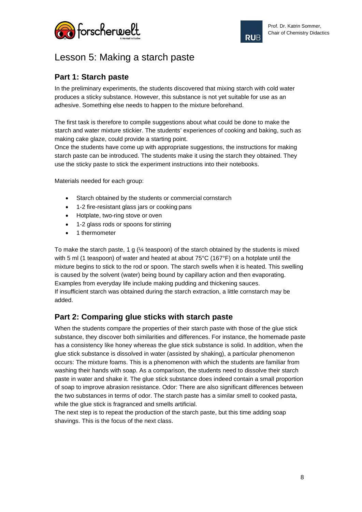



## Lesson 5: Making a starch paste

#### **Part 1: Starch paste**

In the preliminary experiments, the students discovered that mixing starch with cold water produces a sticky substance. However, this substance is not yet suitable for use as an adhesive. Something else needs to happen to the mixture beforehand.

The first task is therefore to compile suggestions about what could be done to make the starch and water mixture stickier. The students' experiences of cooking and baking, such as making cake glaze, could provide a starting point.

Once the students have come up with appropriate suggestions, the instructions for making starch paste can be introduced. The students make it using the starch they obtained. They use the sticky paste to stick the experiment instructions into their notebooks.

Materials needed for each group:

- Starch obtained by the students or commercial cornstarch
- 1-2 fire-resistant glass jars or cooking pans
- Hotplate, two-ring stove or oven
- 1-2 glass rods or spoons for stirring
- 1 thermometer

To make the starch paste, 1 g  $\frac{1}{4}$  teaspoon) of the starch obtained by the students is mixed with 5 ml (1 teaspoon) of water and heated at about 75°C (167°F) on a hotplate until the mixture begins to stick to the rod or spoon. The starch swells when it is heated. This swelling is caused by the solvent (water) being bound by capillary action and then evaporating. Examples from everyday life include making pudding and thickening sauces. If insufficient starch was obtained during the starch extraction, a little cornstarch may be added.

#### **Part 2: Comparing glue sticks with starch paste**

When the students compare the properties of their starch paste with those of the glue stick substance, they discover both similarities and differences. For instance, the homemade paste has a consistency like honey whereas the glue stick substance is solid. In addition, when the glue stick substance is dissolved in water (assisted by shaking), a particular phenomenon occurs: The mixture foams. This is a phenomenon with which the students are familiar from washing their hands with soap. As a comparison, the students need to dissolve their starch paste in water and shake it. The glue stick substance does indeed contain a small proportion of soap to improve abrasion resistance. Odor: There are also significant differences between the two substances in terms of odor. The starch paste has a similar smell to cooked pasta, while the glue stick is fragranced and smells artificial.

The next step is to repeat the production of the starch paste, but this time adding soap shavings. This is the focus of the next class.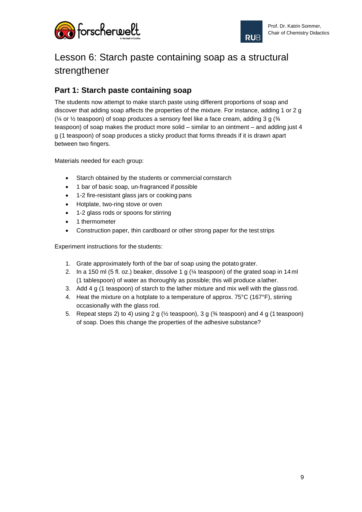



# Lesson 6: Starch paste containing soap as a structural strengthener

#### **Part 1: Starch paste containing soap**

The students now attempt to make starch paste using different proportions of soap and discover that adding soap affects the properties of the mixture. For instance, adding 1 or 2 g ( $\frac{1}{4}$  or  $\frac{1}{2}$  teaspoon) of soap produces a sensory feel like a face cream, adding 3 g ( $\frac{3}{4}$ teaspoon) of soap makes the product more solid – similar to an ointment – and adding just 4 g (1 teaspoon) of soap produces a sticky product that forms threads if it is drawn apart between two fingers.

Materials needed for each group:

- Starch obtained by the students or commercial cornstarch
- 1 bar of basic soap, un-fragranced if possible
- 1-2 fire-resistant glass jars or cooking pans
- Hotplate, two-ring stove or oven
- 1-2 glass rods or spoons for stirring
- 1 thermometer
- Construction paper, thin cardboard or other strong paper for the test strips

Experiment instructions for the students:

- 1. Grate approximately forth of the bar of soap using the potato grater.
- 2. In a 150 ml (5 fl. oz.) beaker, dissolve 1 g (¼ teaspoon) of the grated soap in 14 ml (1 tablespoon) of water as thoroughly as possible; this will produce a lather.
- 3. Add 4 g (1 teaspoon) of starch to the lather mixture and mix well with the glass rod.
- 4. Heat the mixture on a hotplate to a temperature of approx. 75°C (167°F), stirring occasionally with the glass rod.
- 5. Repeat steps 2) to 4) using 2 g ( $\frac{1}{2}$  teaspoon), 3 g ( $\frac{3}{4}$  teaspoon) and 4 g (1 teaspoon) of soap. Does this change the properties of the adhesive substance?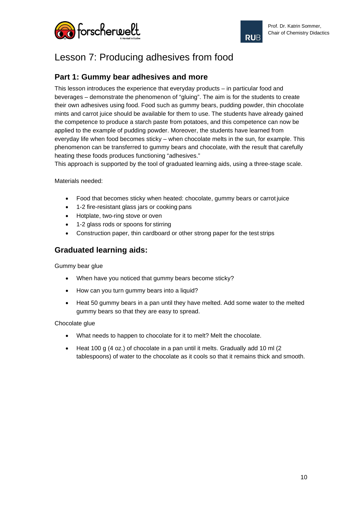



# Lesson 7: Producing adhesives from food

#### **Part 1: Gummy bear adhesives and more**

This lesson introduces the experience that everyday products – in particular food and beverages – demonstrate the phenomenon of "gluing". The aim is for the students to create their own adhesives using food. Food such as gummy bears, pudding powder, thin chocolate mints and carrot juice should be available for them to use. The students have already gained the competence to produce a starch paste from potatoes, and this competence can now be applied to the example of pudding powder. Moreover, the students have learned from everyday life when food becomes sticky – when chocolate melts in the sun, for example. This phenomenon can be transferred to gummy bears and chocolate, with the result that carefully heating these foods produces functioning "adhesives."

This approach is supported by the tool of graduated learning aids, using a three-stage scale.

Materials needed:

- Food that becomes sticky when heated: chocolate, gummy bears or carrot juice
- 1-2 fire-resistant glass jars or cooking pans
- Hotplate, two-ring stove or oven
- 1-2 glass rods or spoons for stirring
- Construction paper, thin cardboard or other strong paper for the test strips

#### **Graduated learning aids:**

Gummy bear glue

- When have you noticed that gummy bears become sticky?
- How can you turn gummy bears into a liquid?
- Heat 50 gummy bears in a pan until they have melted. Add some water to the melted gummy bears so that they are easy to spread.

Chocolate glue

- What needs to happen to chocolate for it to melt? Melt the chocolate.
- Heat 100 g (4 oz.) of chocolate in a pan until it melts. Gradually add 10 ml (2) tablespoons) of water to the chocolate as it cools so that it remains thick and smooth.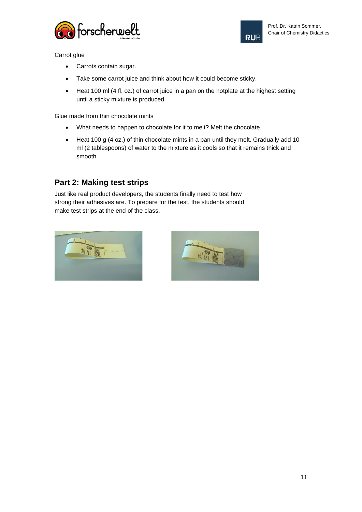



Carrot glue

- Carrots contain sugar.
- Take some carrot juice and think about how it could become sticky.
- Heat 100 ml (4 fl. oz.) of carrot juice in a pan on the hotplate at the highest setting until a sticky mixture is produced.

Glue made from thin chocolate mints

- What needs to happen to chocolate for it to melt? Melt the chocolate.
- Heat 100 g (4 oz.) of thin chocolate mints in a pan until they melt. Gradually add 10 ml (2 tablespoons) of water to the mixture as it cools so that it remains thick and smooth.

#### **Part 2: Making test strips**

Just like real product developers, the students finally need to test how strong their adhesives are. To prepare for the test, the students should make test strips at the end of the class.